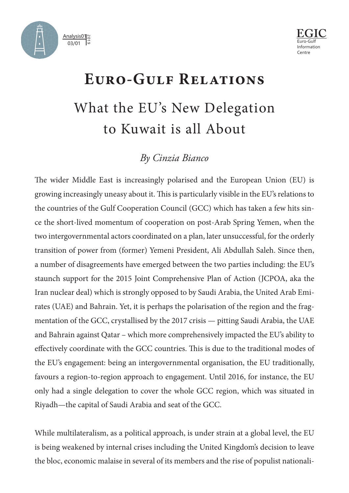



## **Euro-Gulf Relations** What the EU's New Delegation to Kuwait is all About

## *By Cinzia Bianco*

The wider Middle East is increasingly polarised and the European Union (EU) is growing increasingly uneasy about it. This is particularly visible in the EU's relations to the countries of the Gulf Cooperation Council (GCC) which has taken a few hits since the short-lived momentum of cooperation on post-Arab Spring Yemen, when the two intergovernmental actors coordinated on a plan, later unsuccessful, for the orderly transition of power from (former) Yemeni President, Ali Abdullah Saleh. Since then, a number of disagreements have emerged between the two parties including: the EU's staunch support for the 2015 Joint Comprehensive Plan of Action (JCPOA, aka the Iran nuclear deal) which is strongly opposed to by Saudi Arabia, the United Arab Emirates (UAE) and Bahrain. Yet, it is perhaps the polarisation of the region and the fragmentation of the GCC, crystallised by the 2017 crisis — pitting Saudi Arabia, the UAE and Bahrain against Qatar – which more comprehensively impacted the EU's ability to effectively coordinate with the GCC countries. This is due to the traditional modes of the EU's engagement: being an intergovernmental organisation, the EU traditionally, favours a region-to-region approach to engagement. Until 2016, for instance, the EU only had a single delegation to cover the whole GCC region, which was situated in Riyadh—the capital of Saudi Arabia and seat of the GCC.

While multilateralism, as a political approach, is under strain at a global level, the EU is being weakened by internal crises including the United Kingdom's decision to leave the bloc, economic malaise in several of its members and the rise of populist nationali-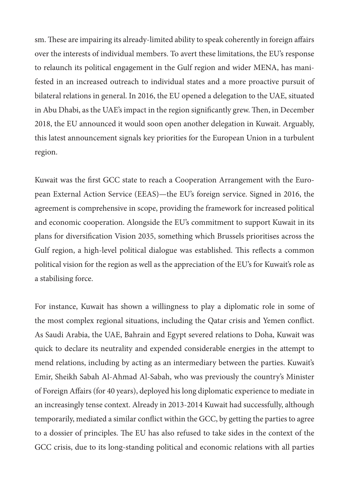sm. These are impairing its already-limited ability to speak coherently in foreign affairs over the interests of individual members. To avert these limitations, the EU's response to relaunch its political engagement in the Gulf region and wider MENA, has manifested in an increased outreach to individual states and a more proactive pursuit of bilateral relations in general. In 2016, the EU opened a delegation to the UAE, situated in Abu Dhabi, as the UAE's impact in the region significantly grew. Then, in December 2018, the EU announced it would soon open another delegation in Kuwait. Arguably, this latest announcement signals key priorities for the European Union in a turbulent region.

Kuwait was the first GCC state to reach a Cooperation Arrangement with the European External Action Service (EEAS)—the EU's foreign service. Signed in 2016, the agreement is comprehensive in scope, providing the framework for increased political and economic cooperation. Alongside the EU's commitment to support Kuwait in its plans for diversification Vision 2035, something which Brussels prioritises across the Gulf region, a high-level political dialogue was established. This reflects a common political vision for the region as well as the appreciation of the EU's for Kuwait's role as a stabilising force.

For instance, Kuwait has shown a willingness to play a diplomatic role in some of the most complex regional situations, including the Qatar crisis and Yemen conflict. As Saudi Arabia, the UAE, Bahrain and Egypt severed relations to Doha, Kuwait was quick to declare its neutrality and expended considerable energies in the attempt to mend relations, including by acting as an intermediary between the parties. Kuwait's Emir, Sheikh Sabah Al-Ahmad Al-Sabah, who was previously the country's Minister of Foreign Affairs (for 40 years), deployed his long diplomatic experience to mediate in an increasingly tense context. Already in 2013-2014 Kuwait had successfully, although temporarily, mediated a similar conflict within the GCC, by getting the parties to agree to a dossier of principles. The EU has also refused to take sides in the context of the GCC crisis, due to its long-standing political and economic relations with all parties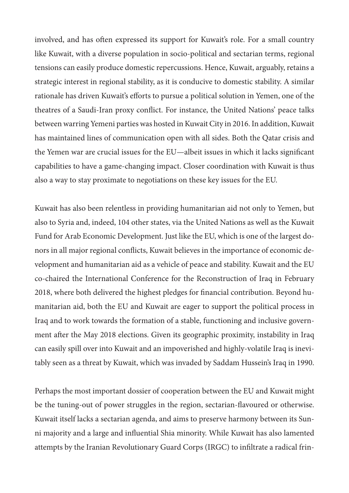involved, and has often expressed its support for Kuwait's role. For a small country like Kuwait, with a diverse population in socio-political and sectarian terms, regional tensions can easily produce domestic repercussions. Hence, Kuwait, arguably, retains a strategic interest in regional stability, as it is conducive to domestic stability. A similar rationale has driven Kuwait's efforts to pursue a political solution in Yemen, one of the theatres of a Saudi-Iran proxy conflict. For instance, the United Nations' peace talks between warring Yemeni parties was hosted in Kuwait City in 2016. In addition, Kuwait has maintained lines of communication open with all sides. Both the Qatar crisis and the Yemen war are crucial issues for the EU—albeit issues in which it lacks significant capabilities to have a game-changing impact. Closer coordination with Kuwait is thus also a way to stay proximate to negotiations on these key issues for the EU.

Kuwait has also been relentless in providing humanitarian aid not only to Yemen, but also to Syria and, indeed, 104 other states, via the United Nations as well as the Kuwait Fund for Arab Economic Development. Just like the EU, which is one of the largest donors in all major regional conflicts, Kuwait believes in the importance of economic development and humanitarian aid as a vehicle of peace and stability. Kuwait and the EU co-chaired the International Conference for the Reconstruction of Iraq in February 2018, where both delivered the highest pledges for financial contribution. Beyond humanitarian aid, both the EU and Kuwait are eager to support the political process in Iraq and to work towards the formation of a stable, functioning and inclusive government after the May 2018 elections. Given its geographic proximity, instability in Iraq can easily spill over into Kuwait and an impoverished and highly-volatile Iraq is inevitably seen as a threat by Kuwait, which was invaded by Saddam Hussein's Iraq in 1990.

Perhaps the most important dossier of cooperation between the EU and Kuwait might be the tuning-out of power struggles in the region, sectarian-flavoured or otherwise. Kuwait itself lacks a sectarian agenda, and aims to preserve harmony between its Sunni majority and a large and influential Shia minority. While Kuwait has also lamented attempts by the Iranian Revolutionary Guard Corps (IRGC) to infiltrate a radical frin